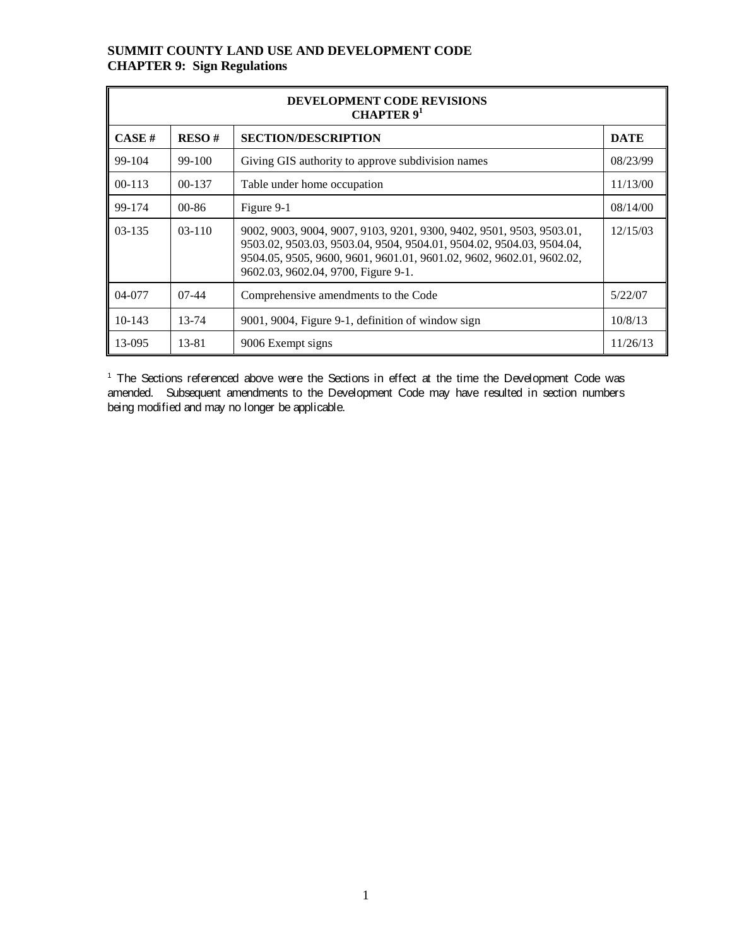|            | <b>DEVELOPMENT CODE REVISIONS</b><br><b>CHAPTER</b> $91$ |                                                                                                                                                                                                                                                             |             |  |  |  |  |  |  |  |
|------------|----------------------------------------------------------|-------------------------------------------------------------------------------------------------------------------------------------------------------------------------------------------------------------------------------------------------------------|-------------|--|--|--|--|--|--|--|
| CASE H     | RESO#                                                    | <b>SECTION/DESCRIPTION</b>                                                                                                                                                                                                                                  | <b>DATE</b> |  |  |  |  |  |  |  |
| 99-104     | 99-100                                                   | Giving GIS authority to approve subdivision names                                                                                                                                                                                                           | 08/23/99    |  |  |  |  |  |  |  |
| $00 - 113$ | $00 - 137$                                               | Table under home occupation                                                                                                                                                                                                                                 | 11/13/00    |  |  |  |  |  |  |  |
| 99-174     | $00 - 86$                                                | Figure 9-1                                                                                                                                                                                                                                                  | 08/14/00    |  |  |  |  |  |  |  |
| $03-135$   | $03-110$                                                 | 9002, 9003, 9004, 9007, 9103, 9201, 9300, 9402, 9501, 9503, 9503.01,<br>9503.02, 9503.03, 9503.04, 9504, 9504.01, 9504.02, 9504.03, 9504.04,<br>9504.05, 9505, 9600, 9601, 9601.01, 9601.02, 9602, 9602.01, 9602.02,<br>9602.03, 9602.04, 9700, Figure 9-1. | 12/15/03    |  |  |  |  |  |  |  |
| $04-077$   | $07-44$                                                  | Comprehensive amendments to the Code                                                                                                                                                                                                                        | 5/22/07     |  |  |  |  |  |  |  |
| $10-143$   | 13-74                                                    | 9001, 9004, Figure 9-1, definition of window sign                                                                                                                                                                                                           | 10/8/13     |  |  |  |  |  |  |  |
| 13-095     | 13-81                                                    | 9006 Exempt signs                                                                                                                                                                                                                                           | 11/26/13    |  |  |  |  |  |  |  |

<sup>1</sup> The Sections referenced above were the Sections in effect at the time the Development Code was amended. Subsequent amendments to the Development Code may have resulted in section numbers being modified and may no longer be applicable.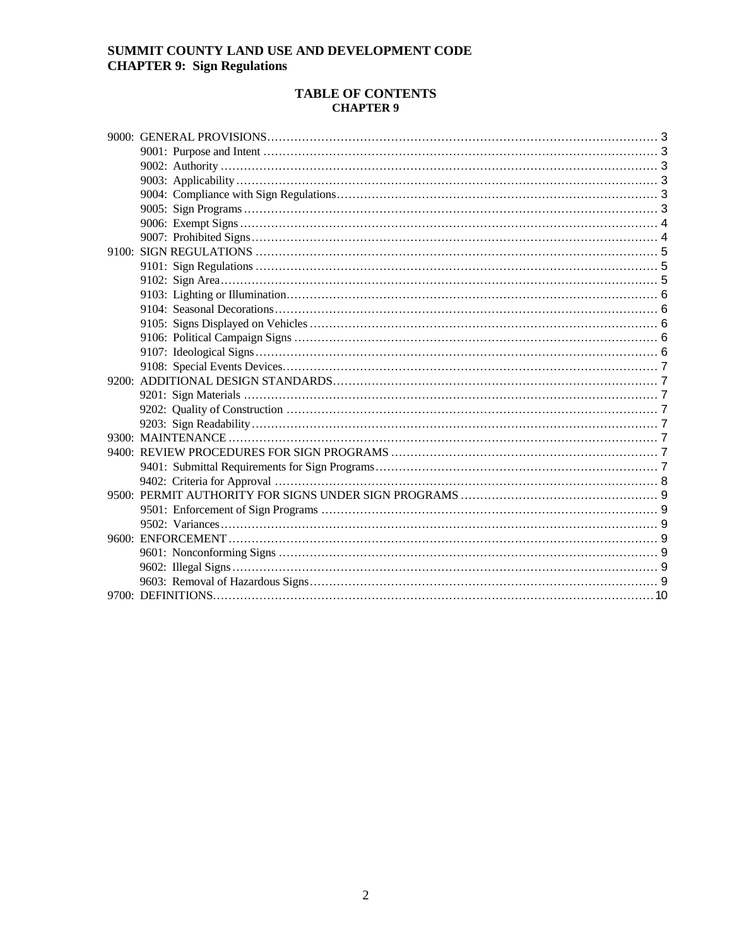## **TABLE OF CONTENTS<br>CHAPTER 9**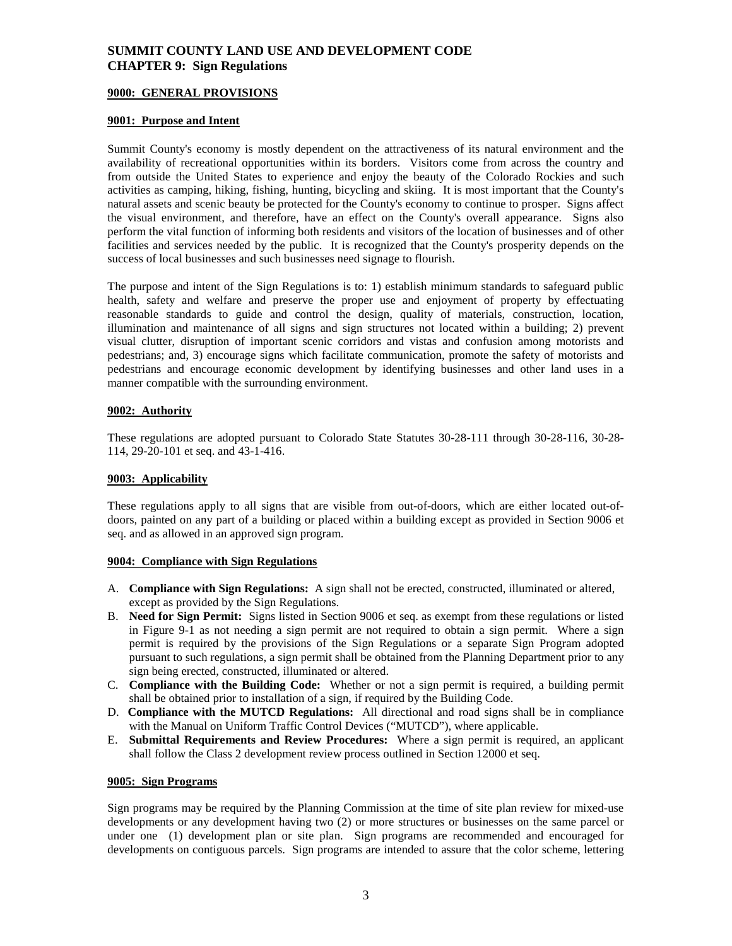#### <span id="page-2-0"></span>**9000: GENERAL PROVISIONS**

#### <span id="page-2-1"></span>**9001: Purpose and Intent**

Summit County's economy is mostly dependent on the attractiveness of its natural environment and the availability of recreational opportunities within its borders. Visitors come from across the country and from outside the United States to experience and enjoy the beauty of the Colorado Rockies and such activities as camping, hiking, fishing, hunting, bicycling and skiing. It is most important that the County's natural assets and scenic beauty be protected for the County's economy to continue to prosper. Signs affect the visual environment, and therefore, have an effect on the County's overall appearance. Signs also perform the vital function of informing both residents and visitors of the location of businesses and of other facilities and services needed by the public. It is recognized that the County's prosperity depends on the success of local businesses and such businesses need signage to flourish.

The purpose and intent of the Sign Regulations is to: 1) establish minimum standards to safeguard public health, safety and welfare and preserve the proper use and enjoyment of property by effectuating reasonable standards to guide and control the design, quality of materials, construction, location, illumination and maintenance of all signs and sign structures not located within a building; 2) prevent visual clutter, disruption of important scenic corridors and vistas and confusion among motorists and pedestrians; and, 3) encourage signs which facilitate communication, promote the safety of motorists and pedestrians and encourage economic development by identifying businesses and other land uses in a manner compatible with the surrounding environment.

#### <span id="page-2-2"></span>**9002: Authority**

These regulations are adopted pursuant to Colorado State Statutes 30-28-111 through 30-28-116, 30-28- 114, 29-20-101 et seq. and 43-1-416.

#### <span id="page-2-3"></span>**9003: Applicability**

These regulations apply to all signs that are visible from out-of-doors, which are either located out-ofdoors, painted on any part of a building or placed within a building except as provided in Section 9006 et seq. and as allowed in an approved sign program.

#### <span id="page-2-4"></span>**9004: Compliance with Sign Regulations**

- A. **Compliance with Sign Regulations:** A sign shall not be erected, constructed, illuminated or altered, except as provided by the Sign Regulations.
- B. **Need for Sign Permit:** Signs listed in Section 9006 et seq. as exempt from these regulations or listed in Figure 9-1 as not needing a sign permit are not required to obtain a sign permit. Where a sign permit is required by the provisions of the Sign Regulations or a separate Sign Program adopted pursuant to such regulations, a sign permit shall be obtained from the Planning Department prior to any sign being erected, constructed, illuminated or altered.
- C. **Compliance with the Building Code:** Whether or not a sign permit is required, a building permit shall be obtained prior to installation of a sign, if required by the Building Code.
- D. **Compliance with the MUTCD Regulations:** All directional and road signs shall be in compliance with the Manual on Uniform Traffic Control Devices ("MUTCD"), where applicable.
- E. **Submittal Requirements and Review Procedures:** Where a sign permit is required, an applicant shall follow the Class 2 development review process outlined in Section 12000 et seq.

#### <span id="page-2-5"></span>**9005: Sign Programs**

Sign programs may be required by the Planning Commission at the time of site plan review for mixed-use developments or any development having two (2) or more structures or businesses on the same parcel or under one (1) development plan or site plan. Sign programs are recommended and encouraged for developments on contiguous parcels. Sign programs are intended to assure that the color scheme, lettering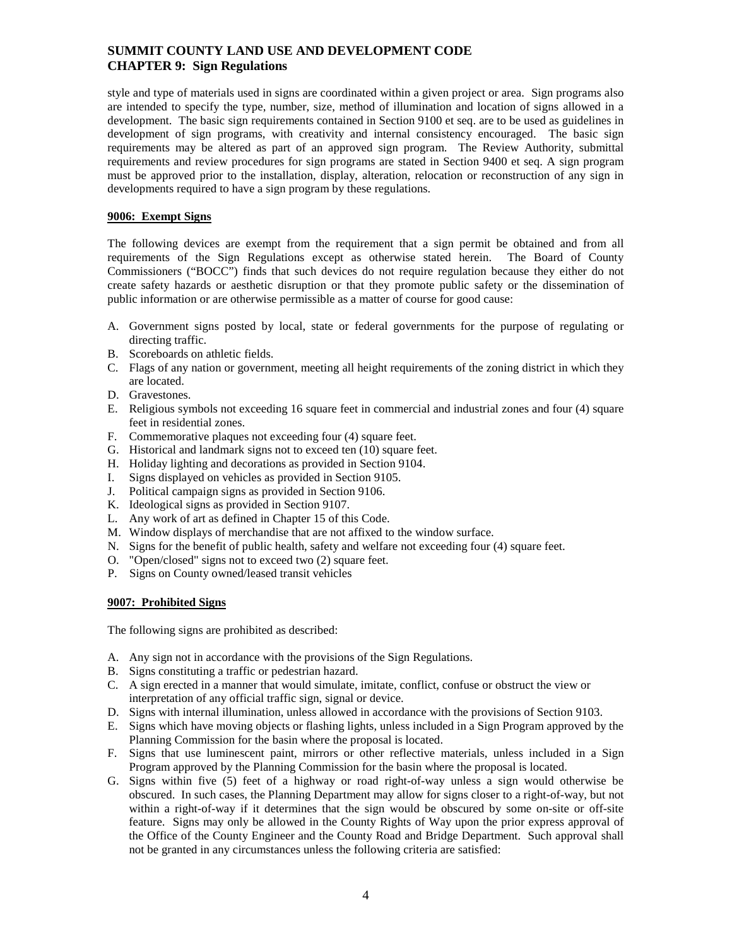style and type of materials used in signs are coordinated within a given project or area. Sign programs also are intended to specify the type, number, size, method of illumination and location of signs allowed in a development. The basic sign requirements contained in Section 9100 et seq. are to be used as guidelines in development of sign programs, with creativity and internal consistency encouraged. The basic sign requirements may be altered as part of an approved sign program. The Review Authority, submittal requirements and review procedures for sign programs are stated in Section 9400 et seq. A sign program must be approved prior to the installation, display, alteration, relocation or reconstruction of any sign in developments required to have a sign program by these regulations.

## <span id="page-3-0"></span>**9006: Exempt Signs**

The following devices are exempt from the requirement that a sign permit be obtained and from all requirements of the Sign Regulations except as otherwise stated herein. The Board of County Commissioners ("BOCC") finds that such devices do not require regulation because they either do not create safety hazards or aesthetic disruption or that they promote public safety or the dissemination of public information or are otherwise permissible as a matter of course for good cause:

- A. Government signs posted by local, state or federal governments for the purpose of regulating or directing traffic.
- B. Scoreboards on athletic fields.
- C. Flags of any nation or government, meeting all height requirements of the zoning district in which they are located.
- D. Gravestones.
- E. Religious symbols not exceeding 16 square feet in commercial and industrial zones and four (4) square feet in residential zones.
- F. Commemorative plaques not exceeding four (4) square feet.
- G. Historical and landmark signs not to exceed ten (10) square feet.
- H. Holiday lighting and decorations as provided in Section 9104.
- I. Signs displayed on vehicles as provided in Section 9105.
- J. Political campaign signs as provided in Section 9106.
- K. Ideological signs as provided in Section 9107.
- L. Any work of art as defined in Chapter 15 of this Code.
- M. Window displays of merchandise that are not affixed to the window surface.
- N. Signs for the benefit of public health, safety and welfare not exceeding four (4) square feet.
- O. "Open/closed" signs not to exceed two (2) square feet.
- P. Signs on County owned/leased transit vehicles

#### <span id="page-3-1"></span>**9007: Prohibited Signs**

The following signs are prohibited as described:

- A. Any sign not in accordance with the provisions of the Sign Regulations.
- B. Signs constituting a traffic or pedestrian hazard.
- C. A sign erected in a manner that would simulate, imitate, conflict, confuse or obstruct the view or interpretation of any official traffic sign, signal or device.
- D. Signs with internal illumination, unless allowed in accordance with the provisions of Section 9103.
- E. Signs which have moving objects or flashing lights, unless included in a Sign Program approved by the Planning Commission for the basin where the proposal is located.
- F. Signs that use luminescent paint, mirrors or other reflective materials, unless included in a Sign Program approved by the Planning Commission for the basin where the proposal is located.
- G. Signs within five (5) feet of a highway or road right-of-way unless a sign would otherwise be obscured. In such cases, the Planning Department may allow for signs closer to a right-of-way, but not within a right-of-way if it determines that the sign would be obscured by some on-site or off-site feature. Signs may only be allowed in the County Rights of Way upon the prior express approval of the Office of the County Engineer and the County Road and Bridge Department. Such approval shall not be granted in any circumstances unless the following criteria are satisfied: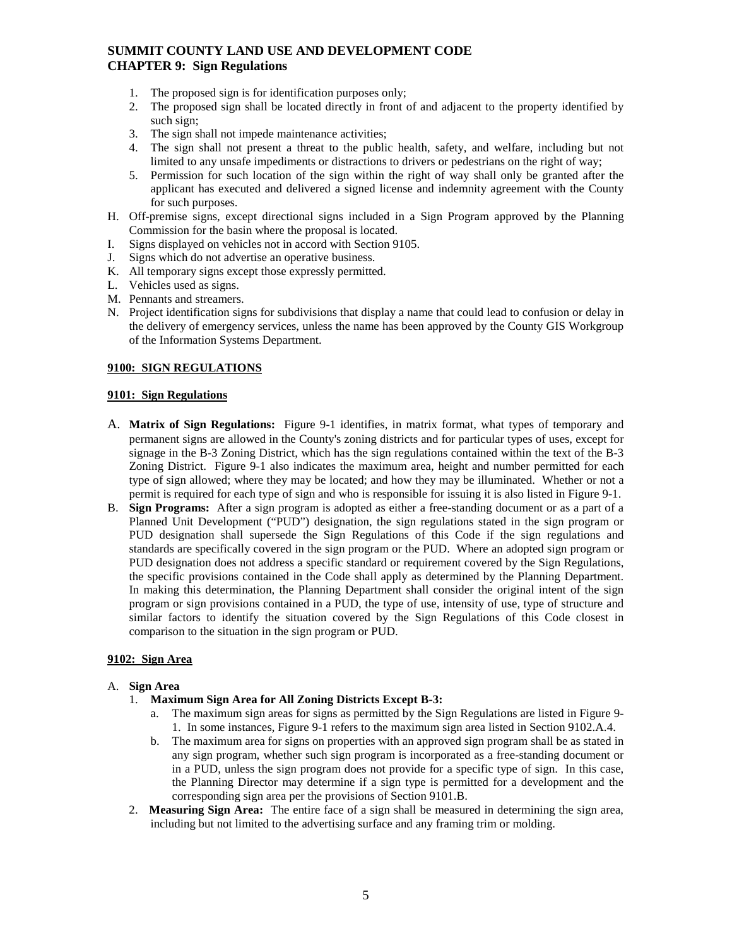- 1. The proposed sign is for identification purposes only;
- 2. The proposed sign shall be located directly in front of and adjacent to the property identified by such sign;
- 3. The sign shall not impede maintenance activities;
- 4. The sign shall not present a threat to the public health, safety, and welfare, including but not limited to any unsafe impediments or distractions to drivers or pedestrians on the right of way;
- 5. Permission for such location of the sign within the right of way shall only be granted after the applicant has executed and delivered a signed license and indemnity agreement with the County for such purposes.
- H. Off-premise signs, except directional signs included in a Sign Program approved by the Planning Commission for the basin where the proposal is located.
- I. Signs displayed on vehicles not in accord with Section 9105.
- J. Signs which do not advertise an operative business.
- K. All temporary signs except those expressly permitted.
- L. Vehicles used as signs.
- M. Pennants and streamers.
- N. Project identification signs for subdivisions that display a name that could lead to confusion or delay in the delivery of emergency services, unless the name has been approved by the County GIS Workgroup of the Information Systems Department.

#### <span id="page-4-0"></span>**9100: SIGN REGULATIONS**

#### <span id="page-4-1"></span>**9101: Sign Regulations**

- A. **Matrix of Sign Regulations:** Figure 9-1 identifies, in matrix format, what types of temporary and permanent signs are allowed in the County's zoning districts and for particular types of uses, except for signage in the B-3 Zoning District, which has the sign regulations contained within the text of the B-3 Zoning District. Figure 9-1 also indicates the maximum area, height and number permitted for each type of sign allowed; where they may be located; and how they may be illuminated. Whether or not a permit is required for each type of sign and who is responsible for issuing it is also listed in Figure 9-1.
- B. **Sign Programs:** After a sign program is adopted as either a free-standing document or as a part of a Planned Unit Development ("PUD") designation, the sign regulations stated in the sign program or PUD designation shall supersede the Sign Regulations of this Code if the sign regulations and standards are specifically covered in the sign program or the PUD. Where an adopted sign program or PUD designation does not address a specific standard or requirement covered by the Sign Regulations, the specific provisions contained in the Code shall apply as determined by the Planning Department. In making this determination, the Planning Department shall consider the original intent of the sign program or sign provisions contained in a PUD, the type of use, intensity of use, type of structure and similar factors to identify the situation covered by the Sign Regulations of this Code closest in comparison to the situation in the sign program or PUD.

#### <span id="page-4-2"></span>**9102: Sign Area**

#### A. **Sign Area**

- 1. **Maximum Sign Area for All Zoning Districts Except B-3:**
	- a. The maximum sign areas for signs as permitted by the Sign Regulations are listed in Figure 9- 1. In some instances, Figure 9-1 refers to the maximum sign area listed in Section 9102.A.4.
	- b. The maximum area for signs on properties with an approved sign program shall be as stated in any sign program, whether such sign program is incorporated as a free-standing document or in a PUD, unless the sign program does not provide for a specific type of sign. In this case, the Planning Director may determine if a sign type is permitted for a development and the corresponding sign area per the provisions of Section 9101.B.
- 2. **Measuring Sign Area:** The entire face of a sign shall be measured in determining the sign area, including but not limited to the advertising surface and any framing trim or molding.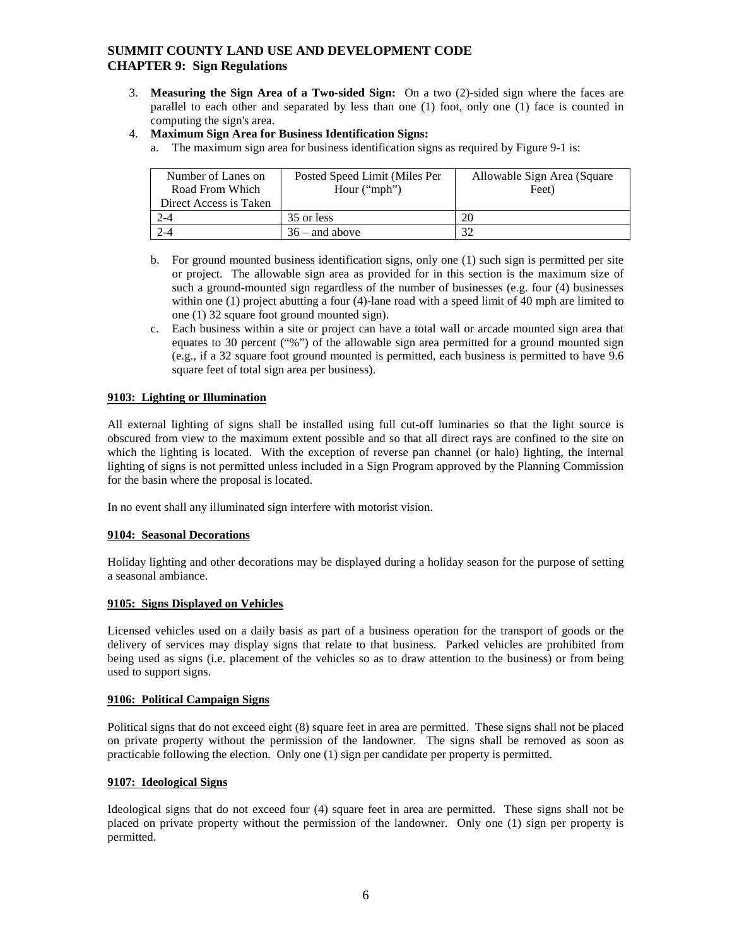- 3. **Measuring the Sign Area of a Two-sided Sign:** On a two (2)-sided sign where the faces are parallel to each other and separated by less than one (1) foot, only one (1) face is counted in computing the sign's area.
- 4. **Maximum Sign Area for Business Identification Signs:**
	- a. The maximum sign area for business identification signs as required by Figure 9-1 is:

| Number of Lanes on     | Posted Speed Limit (Miles Per | Allowable Sign Area (Square |
|------------------------|-------------------------------|-----------------------------|
| Road From Which        | Hour $("mph")$                | Feet)                       |
| Direct Access is Taken |                               |                             |
| 2-4                    | 35 or less                    | 20                          |
| $2 - 4$                | $36 -$ and above              | 37                          |

- b. For ground mounted business identification signs, only one (1) such sign is permitted per site or project. The allowable sign area as provided for in this section is the maximum size of such a ground-mounted sign regardless of the number of businesses (e.g. four (4) businesses within one (1) project abutting a four (4)-lane road with a speed limit of 40 mph are limited to one (1) 32 square foot ground mounted sign).
- c. Each business within a site or project can have a total wall or arcade mounted sign area that equates to 30 percent ("%") of the allowable sign area permitted for a ground mounted sign (e.g., if a 32 square foot ground mounted is permitted, each business is permitted to have 9.6 square feet of total sign area per business).

#### <span id="page-5-0"></span>**9103: Lighting or Illumination**

All external lighting of signs shall be installed using full cut-off luminaries so that the light source is obscured from view to the maximum extent possible and so that all direct rays are confined to the site on which the lighting is located. With the exception of reverse pan channel (or halo) lighting, the internal lighting of signs is not permitted unless included in a Sign Program approved by the Planning Commission for the basin where the proposal is located.

In no event shall any illuminated sign interfere with motorist vision.

#### <span id="page-5-1"></span>**9104: Seasonal Decorations**

Holiday lighting and other decorations may be displayed during a holiday season for the purpose of setting a seasonal ambiance.

#### <span id="page-5-2"></span>**9105: Signs Displayed on Vehicles**

Licensed vehicles used on a daily basis as part of a business operation for the transport of goods or the delivery of services may display signs that relate to that business. Parked vehicles are prohibited from being used as signs (i.e. placement of the vehicles so as to draw attention to the business) or from being used to support signs.

#### <span id="page-5-3"></span>**9106: Political Campaign Signs**

Political signs that do not exceed eight (8) square feet in area are permitted. These signs shall not be placed on private property without the permission of the landowner. The signs shall be removed as soon as practicable following the election. Only one (1) sign per candidate per property is permitted.

#### <span id="page-5-4"></span>**9107: Ideological Signs**

Ideological signs that do not exceed four (4) square feet in area are permitted. These signs shall not be placed on private property without the permission of the landowner. Only one (1) sign per property is permitted.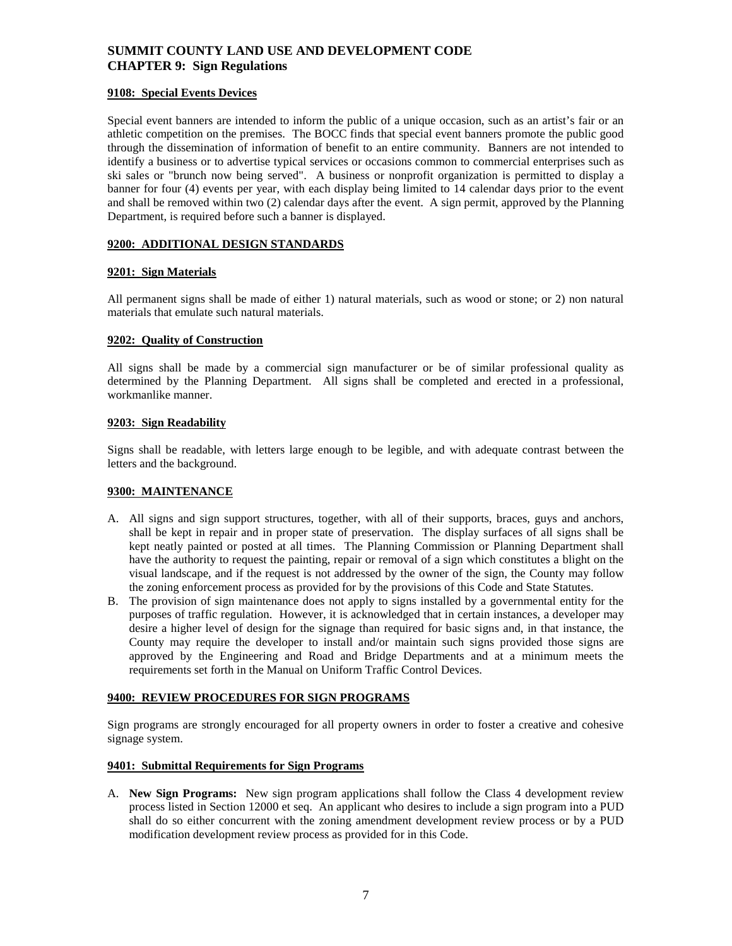#### <span id="page-6-0"></span>**9108: Special Events Devices**

Special event banners are intended to inform the public of a unique occasion, such as an artist's fair or an athletic competition on the premises. The BOCC finds that special event banners promote the public good through the dissemination of information of benefit to an entire community. Banners are not intended to identify a business or to advertise typical services or occasions common to commercial enterprises such as ski sales or "brunch now being served". A business or nonprofit organization is permitted to display a banner for four (4) events per year, with each display being limited to 14 calendar days prior to the event and shall be removed within two (2) calendar days after the event. A sign permit, approved by the Planning Department, is required before such a banner is displayed.

#### <span id="page-6-1"></span>**9200: ADDITIONAL DESIGN STANDARDS**

#### <span id="page-6-2"></span>**9201: Sign Materials**

All permanent signs shall be made of either 1) natural materials, such as wood or stone; or 2) non natural materials that emulate such natural materials.

#### <span id="page-6-3"></span>**9202: Quality of Construction**

All signs shall be made by a commercial sign manufacturer or be of similar professional quality as determined by the Planning Department. All signs shall be completed and erected in a professional, workmanlike manner.

#### <span id="page-6-4"></span>**9203: Sign Readability**

Signs shall be readable, with letters large enough to be legible, and with adequate contrast between the letters and the background.

#### <span id="page-6-5"></span>**9300: MAINTENANCE**

- A. All signs and sign support structures, together, with all of their supports, braces, guys and anchors, shall be kept in repair and in proper state of preservation. The display surfaces of all signs shall be kept neatly painted or posted at all times. The Planning Commission or Planning Department shall have the authority to request the painting, repair or removal of a sign which constitutes a blight on the visual landscape, and if the request is not addressed by the owner of the sign, the County may follow the zoning enforcement process as provided for by the provisions of this Code and State Statutes.
- B. The provision of sign maintenance does not apply to signs installed by a governmental entity for the purposes of traffic regulation. However, it is acknowledged that in certain instances, a developer may desire a higher level of design for the signage than required for basic signs and, in that instance, the County may require the developer to install and/or maintain such signs provided those signs are approved by the Engineering and Road and Bridge Departments and at a minimum meets the requirements set forth in the Manual on Uniform Traffic Control Devices.

#### <span id="page-6-6"></span>**9400: REVIEW PROCEDURES FOR SIGN PROGRAMS**

Sign programs are strongly encouraged for all property owners in order to foster a creative and cohesive signage system.

#### <span id="page-6-7"></span>**9401: Submittal Requirements for Sign Programs**

A. **New Sign Programs:** New sign program applications shall follow the Class 4 development review process listed in Section 12000 et seq. An applicant who desires to include a sign program into a PUD shall do so either concurrent with the zoning amendment development review process or by a PUD modification development review process as provided for in this Code.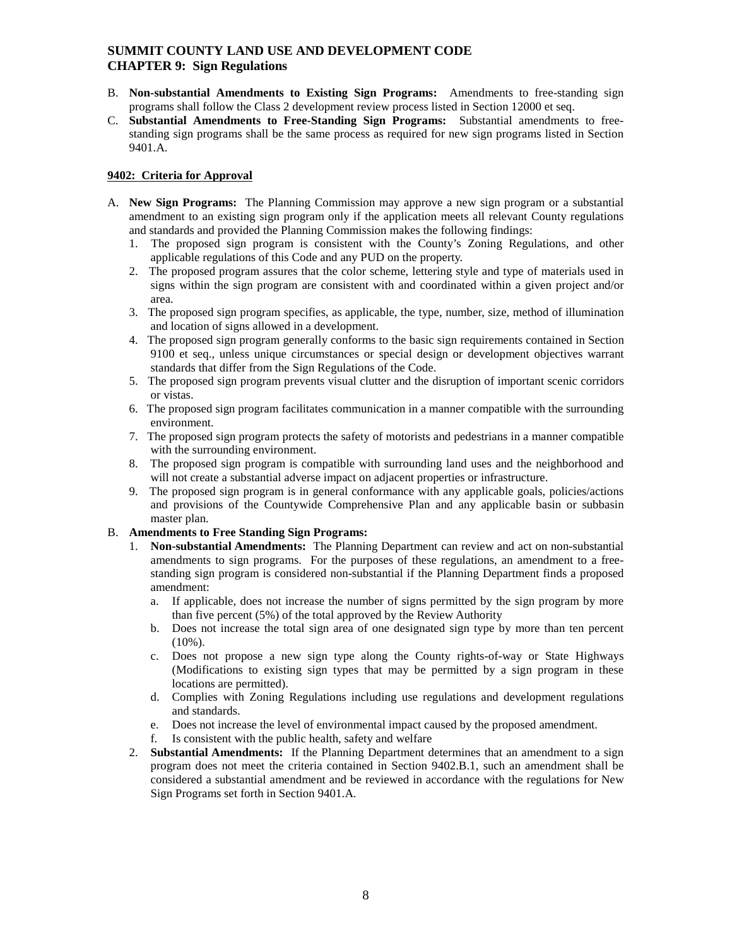- B. **Non-substantial Amendments to Existing Sign Programs:** Amendments to free-standing sign programs shall follow the Class 2 development review process listed in Section 12000 et seq.
- C. **Substantial Amendments to Free-Standing Sign Programs:** Substantial amendments to freestanding sign programs shall be the same process as required for new sign programs listed in Section 9401.A.

#### <span id="page-7-0"></span>**9402: Criteria for Approval**

- A. **New Sign Programs:** The Planning Commission may approve a new sign program or a substantial amendment to an existing sign program only if the application meets all relevant County regulations and standards and provided the Planning Commission makes the following findings:
	- 1. The proposed sign program is consistent with the County's Zoning Regulations, and other applicable regulations of this Code and any PUD on the property.
	- 2. The proposed program assures that the color scheme, lettering style and type of materials used in signs within the sign program are consistent with and coordinated within a given project and/or area.
	- 3. The proposed sign program specifies, as applicable, the type, number, size, method of illumination and location of signs allowed in a development.
	- 4. The proposed sign program generally conforms to the basic sign requirements contained in Section 9100 et seq., unless unique circumstances or special design or development objectives warrant standards that differ from the Sign Regulations of the Code.
	- 5. The proposed sign program prevents visual clutter and the disruption of important scenic corridors or vistas.
	- 6. The proposed sign program facilitates communication in a manner compatible with the surrounding environment.
	- 7. The proposed sign program protects the safety of motorists and pedestrians in a manner compatible with the surrounding environment.
	- 8. The proposed sign program is compatible with surrounding land uses and the neighborhood and will not create a substantial adverse impact on adjacent properties or infrastructure.
	- 9. The proposed sign program is in general conformance with any applicable goals, policies/actions and provisions of the Countywide Comprehensive Plan and any applicable basin or subbasin master plan.

#### B. **Amendments to Free Standing Sign Programs:**

- 1. **Non-substantial Amendments:** The Planning Department can review and act on non-substantial amendments to sign programs. For the purposes of these regulations, an amendment to a freestanding sign program is considered non-substantial if the Planning Department finds a proposed amendment:
	- a. If applicable, does not increase the number of signs permitted by the sign program by more than five percent (5%) of the total approved by the Review Authority
	- b. Does not increase the total sign area of one designated sign type by more than ten percent  $(10\%)$ .
	- c. Does not propose a new sign type along the County rights-of-way or State Highways (Modifications to existing sign types that may be permitted by a sign program in these locations are permitted).
	- d. Complies with Zoning Regulations including use regulations and development regulations and standards.
	- e. Does not increase the level of environmental impact caused by the proposed amendment.
	- f. Is consistent with the public health, safety and welfare
- 2. **Substantial Amendments:** If the Planning Department determines that an amendment to a sign program does not meet the criteria contained in Section 9402.B.1, such an amendment shall be considered a substantial amendment and be reviewed in accordance with the regulations for New Sign Programs set forth in Section 9401.A.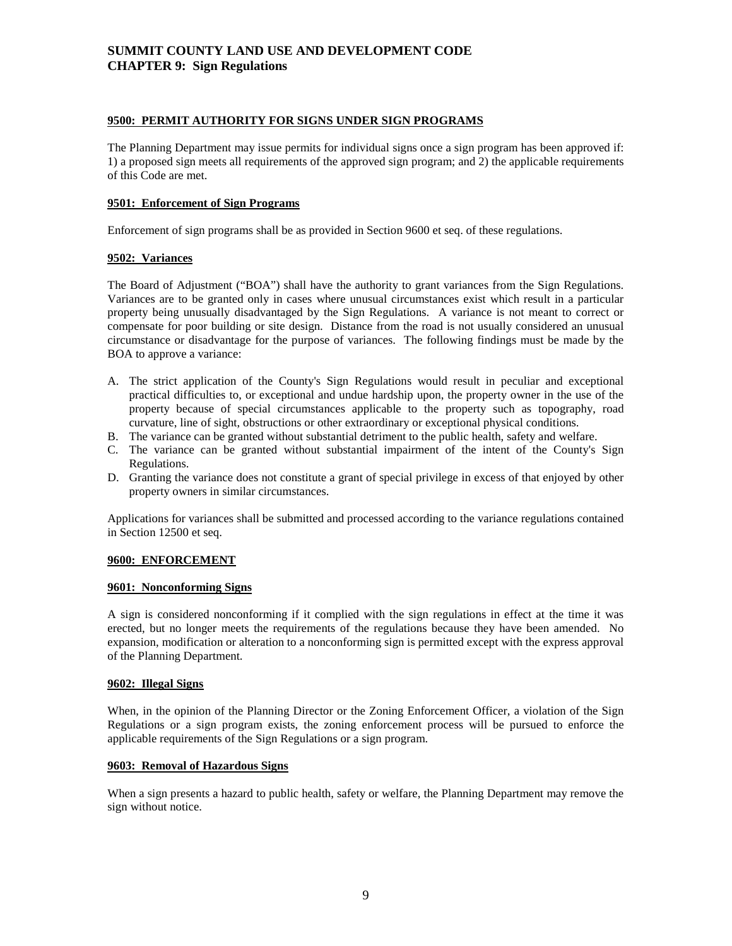#### <span id="page-8-0"></span>**9500: PERMIT AUTHORITY FOR SIGNS UNDER SIGN PROGRAMS**

The Planning Department may issue permits for individual signs once a sign program has been approved if: 1) a proposed sign meets all requirements of the approved sign program; and 2) the applicable requirements of this Code are met.

#### <span id="page-8-1"></span>**9501: Enforcement of Sign Programs**

Enforcement of sign programs shall be as provided in Section 9600 et seq. of these regulations.

#### <span id="page-8-2"></span>**9502: Variances**

The Board of Adjustment ("BOA") shall have the authority to grant variances from the Sign Regulations. Variances are to be granted only in cases where unusual circumstances exist which result in a particular property being unusually disadvantaged by the Sign Regulations. A variance is not meant to correct or compensate for poor building or site design. Distance from the road is not usually considered an unusual circumstance or disadvantage for the purpose of variances. The following findings must be made by the BOA to approve a variance:

- A. The strict application of the County's Sign Regulations would result in peculiar and exceptional practical difficulties to, or exceptional and undue hardship upon, the property owner in the use of the property because of special circumstances applicable to the property such as topography, road curvature, line of sight, obstructions or other extraordinary or exceptional physical conditions.
- B. The variance can be granted without substantial detriment to the public health, safety and welfare.
- C. The variance can be granted without substantial impairment of the intent of the County's Sign Regulations.
- D. Granting the variance does not constitute a grant of special privilege in excess of that enjoyed by other property owners in similar circumstances.

Applications for variances shall be submitted and processed according to the variance regulations contained in Section 12500 et seq.

#### <span id="page-8-3"></span>**9600: ENFORCEMENT**

#### <span id="page-8-4"></span>**9601: Nonconforming Signs**

A sign is considered nonconforming if it complied with the sign regulations in effect at the time it was erected, but no longer meets the requirements of the regulations because they have been amended. No expansion, modification or alteration to a nonconforming sign is permitted except with the express approval of the Planning Department.

#### <span id="page-8-5"></span>**9602: Illegal Signs**

When, in the opinion of the Planning Director or the Zoning Enforcement Officer, a violation of the Sign Regulations or a sign program exists, the zoning enforcement process will be pursued to enforce the applicable requirements of the Sign Regulations or a sign program.

#### <span id="page-8-6"></span>**9603: Removal of Hazardous Signs**

<span id="page-8-7"></span>When a sign presents a hazard to public health, safety or welfare, the Planning Department may remove the sign without notice.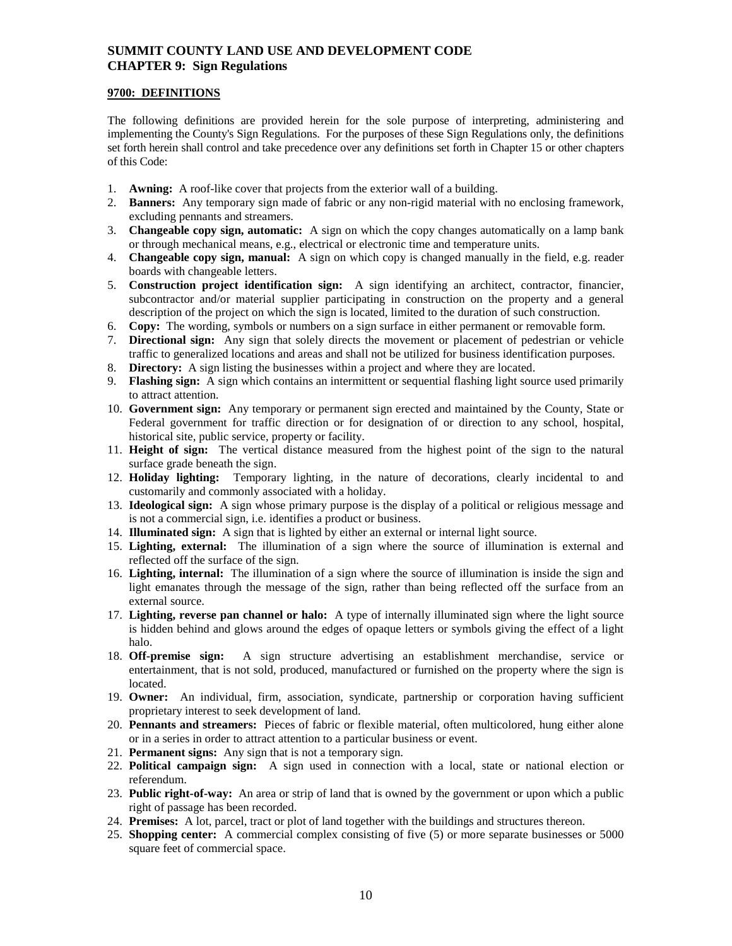### **9700: DEFINITIONS**

The following definitions are provided herein for the sole purpose of interpreting, administering and implementing the County's Sign Regulations. For the purposes of these Sign Regulations only, the definitions set forth herein shall control and take precedence over any definitions set forth in Chapter 15 or other chapters of this Code:

- 1. **Awning:** A roof-like cover that projects from the exterior wall of a building.
- 2. **Banners:** Any temporary sign made of fabric or any non-rigid material with no enclosing framework, excluding pennants and streamers.
- 3. **Changeable copy sign, automatic:** A sign on which the copy changes automatically on a lamp bank or through mechanical means, e.g., electrical or electronic time and temperature units.
- 4. **Changeable copy sign, manual:** A sign on which copy is changed manually in the field, e.g. reader boards with changeable letters.
- 5. **Construction project identification sign:** A sign identifying an architect, contractor, financier, subcontractor and/or material supplier participating in construction on the property and a general description of the project on which the sign is located, limited to the duration of such construction.
- 6. **Copy:** The wording, symbols or numbers on a sign surface in either permanent or removable form.
- 7. **Directional sign:** Any sign that solely directs the movement or placement of pedestrian or vehicle traffic to generalized locations and areas and shall not be utilized for business identification purposes.
- 8. **Directory:** A sign listing the businesses within a project and where they are located.
- 9. **Flashing sign:** A sign which contains an intermittent or sequential flashing light source used primarily to attract attention.
- 10. **Government sign:** Any temporary or permanent sign erected and maintained by the County, State or Federal government for traffic direction or for designation of or direction to any school, hospital, historical site, public service, property or facility.
- 11. **Height of sign:** The vertical distance measured from the highest point of the sign to the natural surface grade beneath the sign.
- 12. **Holiday lighting:** Temporary lighting, in the nature of decorations, clearly incidental to and customarily and commonly associated with a holiday.
- 13. **Ideological sign:** A sign whose primary purpose is the display of a political or religious message and is not a commercial sign, i.e. identifies a product or business.
- 14. **Illuminated sign:** A sign that is lighted by either an external or internal light source.
- 15. **Lighting, external:** The illumination of a sign where the source of illumination is external and reflected off the surface of the sign.
- 16. **Lighting, internal:** The illumination of a sign where the source of illumination is inside the sign and light emanates through the message of the sign, rather than being reflected off the surface from an external source.
- 17. **Lighting, reverse pan channel or halo:** A type of internally illuminated sign where the light source is hidden behind and glows around the edges of opaque letters or symbols giving the effect of a light halo.
- 18. **Off-premise sign:** A sign structure advertising an establishment merchandise, service or entertainment, that is not sold, produced, manufactured or furnished on the property where the sign is located.
- 19. **Owner:** An individual, firm, association, syndicate, partnership or corporation having sufficient proprietary interest to seek development of land.
- 20. **Pennants and streamers:** Pieces of fabric or flexible material, often multicolored, hung either alone or in a series in order to attract attention to a particular business or event.
- 21. **Permanent signs:** Any sign that is not a temporary sign.
- 22. **Political campaign sign:** A sign used in connection with a local, state or national election or referendum.
- 23. **Public right-of-way:** An area or strip of land that is owned by the government or upon which a public right of passage has been recorded.
- 24. **Premises:** A lot, parcel, tract or plot of land together with the buildings and structures thereon.
- 25. **Shopping center:** A commercial complex consisting of five (5) or more separate businesses or 5000 square feet of commercial space.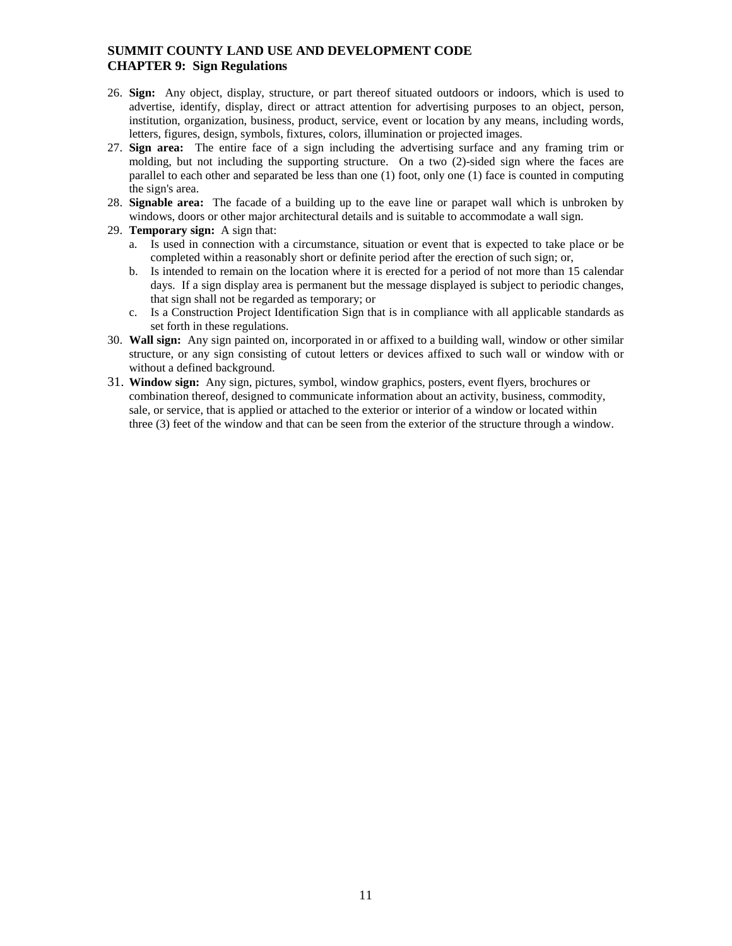- 26. **Sign:** Any object, display, structure, or part thereof situated outdoors or indoors, which is used to advertise, identify, display, direct or attract attention for advertising purposes to an object, person, institution, organization, business, product, service, event or location by any means, including words, letters, figures, design, symbols, fixtures, colors, illumination or projected images.
- 27. **Sign area:** The entire face of a sign including the advertising surface and any framing trim or molding, but not including the supporting structure. On a two (2)-sided sign where the faces are parallel to each other and separated be less than one (1) foot, only one (1) face is counted in computing the sign's area.
- 28. **Signable area:** The facade of a building up to the eave line or parapet wall which is unbroken by windows, doors or other major architectural details and is suitable to accommodate a wall sign.
- 29. **Temporary sign:** A sign that:
	- a. Is used in connection with a circumstance, situation or event that is expected to take place or be completed within a reasonably short or definite period after the erection of such sign; or,
	- b. Is intended to remain on the location where it is erected for a period of not more than 15 calendar days. If a sign display area is permanent but the message displayed is subject to periodic changes, that sign shall not be regarded as temporary; or
	- c. Is a Construction Project Identification Sign that is in compliance with all applicable standards as set forth in these regulations.
- 30. **Wall sign:** Any sign painted on, incorporated in or affixed to a building wall, window or other similar structure, or any sign consisting of cutout letters or devices affixed to such wall or window with or without a defined background.
- 31. **Window sign:** Any sign, pictures, symbol, window graphics, posters, event flyers, brochures or combination thereof, designed to communicate information about an activity, business, commodity, sale, or service, that is applied or attached to the exterior or interior of a window or located within three (3) feet of the window and that can be seen from the exterior of the structure through a window.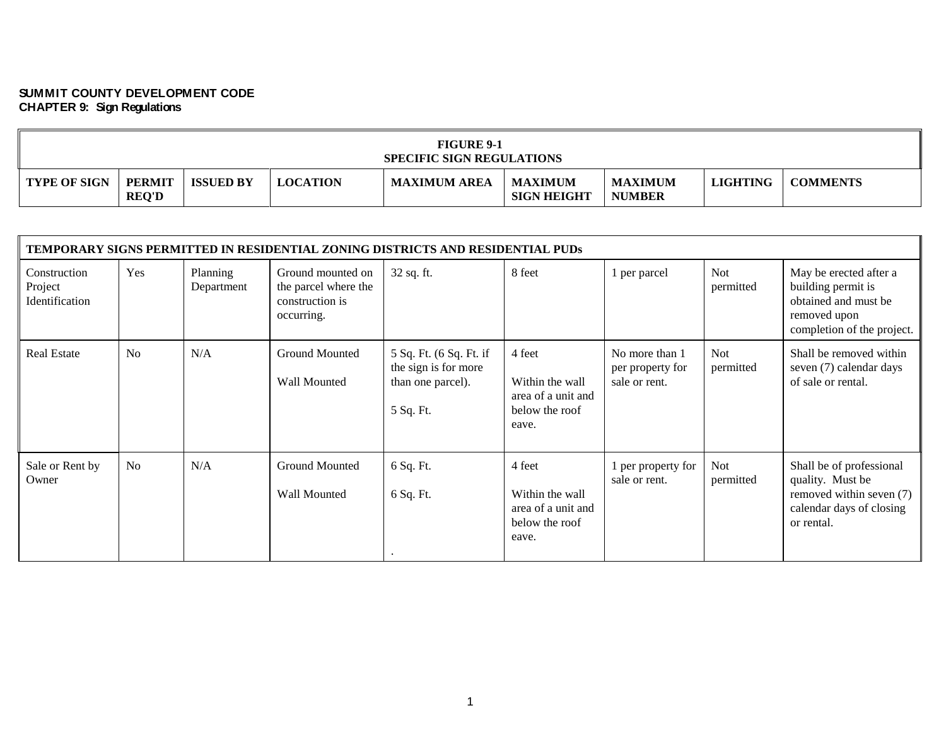| <b>FIGURE 9-1</b><br><b>SPECIFIC SIGN REGULATIONS</b> |                               |                  |                 |                     |                                      |                                 |                 |                 |  |
|-------------------------------------------------------|-------------------------------|------------------|-----------------|---------------------|--------------------------------------|---------------------------------|-----------------|-----------------|--|
| <b>TYPE OF SIGN</b>                                   | <b>PERMIT</b><br><b>REQ'D</b> | <b>ISSUED BY</b> | <b>LOCATION</b> | <b>MAXIMUM AREA</b> | <b>MAXIMUM</b><br><b>SIGN HEIGHT</b> | <b>MAXIMUM</b><br><b>NUMBER</b> | <b>LIGHTING</b> | <b>COMMENTS</b> |  |

|                                           |                |                        |                                                                            | <b>TEMPORARY SIGNS PERMITTED IN RESIDENTIAL ZONING DISTRICTS AND RESIDENTIAL PUDS</b> |                                                                            |                                                     |                         |                                                                                                                    |
|-------------------------------------------|----------------|------------------------|----------------------------------------------------------------------------|---------------------------------------------------------------------------------------|----------------------------------------------------------------------------|-----------------------------------------------------|-------------------------|--------------------------------------------------------------------------------------------------------------------|
| Construction<br>Project<br>Identification | Yes            | Planning<br>Department | Ground mounted on<br>the parcel where the<br>construction is<br>occurring. | 32 sq. ft.                                                                            | 8 feet                                                                     | l per parcel                                        | Not<br>permitted        | May be erected after a<br>building permit is<br>obtained and must be<br>removed upon<br>completion of the project. |
| <b>Real Estate</b>                        | N <sub>o</sub> | N/A                    | Ground Mounted<br>Wall Mounted                                             | 5 Sq. Ft. (6 Sq. Ft. if<br>the sign is for more<br>than one parcel).<br>5 Sq. Ft.     | 4 feet<br>Within the wall<br>area of a unit and<br>below the roof<br>eave. | No more than 1<br>per property for<br>sale or rent. | <b>Not</b><br>permitted | Shall be removed within<br>seven (7) calendar days<br>of sale or rental.                                           |
| Sale or Rent by<br>Owner                  | No             | N/A                    | <b>Ground Mounted</b><br>Wall Mounted                                      | 6 Sq. Ft.<br>6 Sq. Ft.                                                                | 4 feet<br>Within the wall<br>area of a unit and<br>below the roof<br>eave. | per property for<br>sale or rent.                   | <b>Not</b><br>permitted | Shall be of professional<br>quality. Must be<br>removed within seven (7)<br>calendar days of closing<br>or rental. |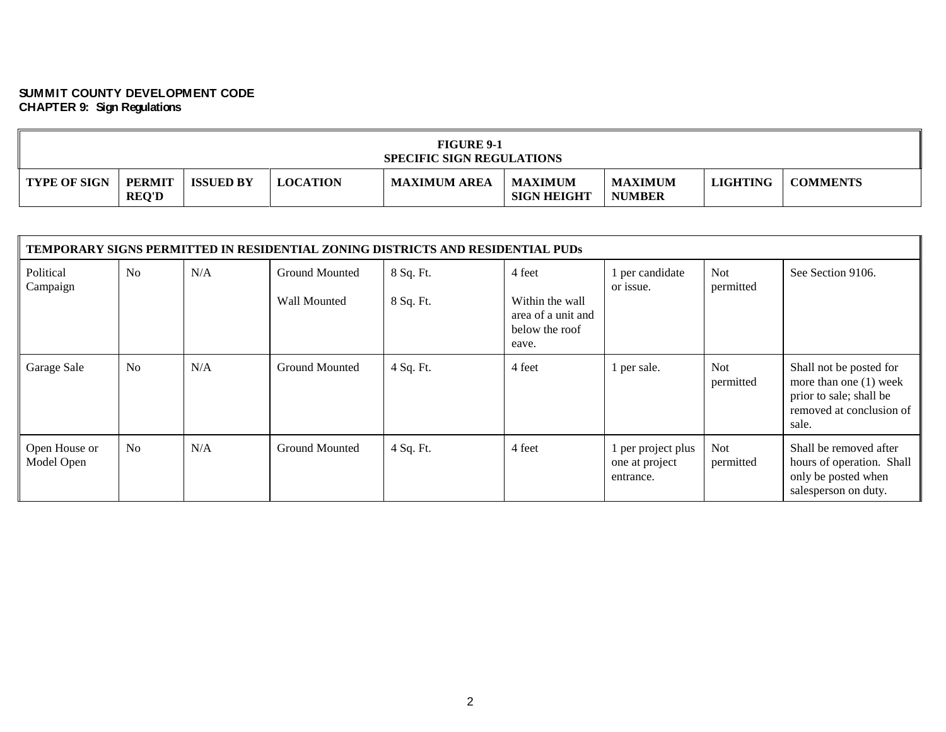| <b>FIGURE 9-1</b><br><b>SPECIFIC SIGN REGULATIONS</b> |                               |                  |                 |                     |                                      |                                 |                 |                 |  |  |
|-------------------------------------------------------|-------------------------------|------------------|-----------------|---------------------|--------------------------------------|---------------------------------|-----------------|-----------------|--|--|
| <b>TYPE OF SIGN</b>                                   | <b>PERMIT</b><br><b>REQ'D</b> | <b>ISSUED BY</b> | <b>LOCATION</b> | <b>MAXIMUM AREA</b> | <b>MAXIMUM</b><br><b>SIGN HEIGHT</b> | <b>MAXIMUM</b><br><b>NUMBER</b> | <b>LIGHTING</b> | <b>COMMENTS</b> |  |  |

|                             | <b>TEMPORARY SIGNS PERMITTED IN RESIDENTIAL ZONING DISTRICTS AND RESIDENTIAL PUDS</b> |     |                                |                        |                                                                            |                                                 |                         |                                                                                                                     |  |  |  |  |
|-----------------------------|---------------------------------------------------------------------------------------|-----|--------------------------------|------------------------|----------------------------------------------------------------------------|-------------------------------------------------|-------------------------|---------------------------------------------------------------------------------------------------------------------|--|--|--|--|
| Political<br>Campaign       | N <sub>o</sub>                                                                        | N/A | Ground Mounted<br>Wall Mounted | 8 Sq. Ft.<br>8 Sq. Ft. | 4 feet<br>Within the wall<br>area of a unit and<br>below the roof<br>eave. | per candidate<br>or issue.                      | <b>Not</b><br>permitted | See Section 9106.                                                                                                   |  |  |  |  |
| Garage Sale                 | N <sub>o</sub>                                                                        | N/A | <b>Ground Mounted</b>          | 4 Sq. Ft.              | 4 feet                                                                     | l per sale.                                     | <b>Not</b><br>permitted | Shall not be posted for<br>more than one $(1)$ week<br>prior to sale; shall be<br>removed at conclusion of<br>sale. |  |  |  |  |
| Open House or<br>Model Open | No                                                                                    | N/A | <b>Ground Mounted</b>          | 4 Sq. Ft.              | 4 feet                                                                     | per project plus<br>one at project<br>entrance. | <b>Not</b><br>permitted | Shall be removed after<br>hours of operation. Shall<br>only be posted when<br>salesperson on duty.                  |  |  |  |  |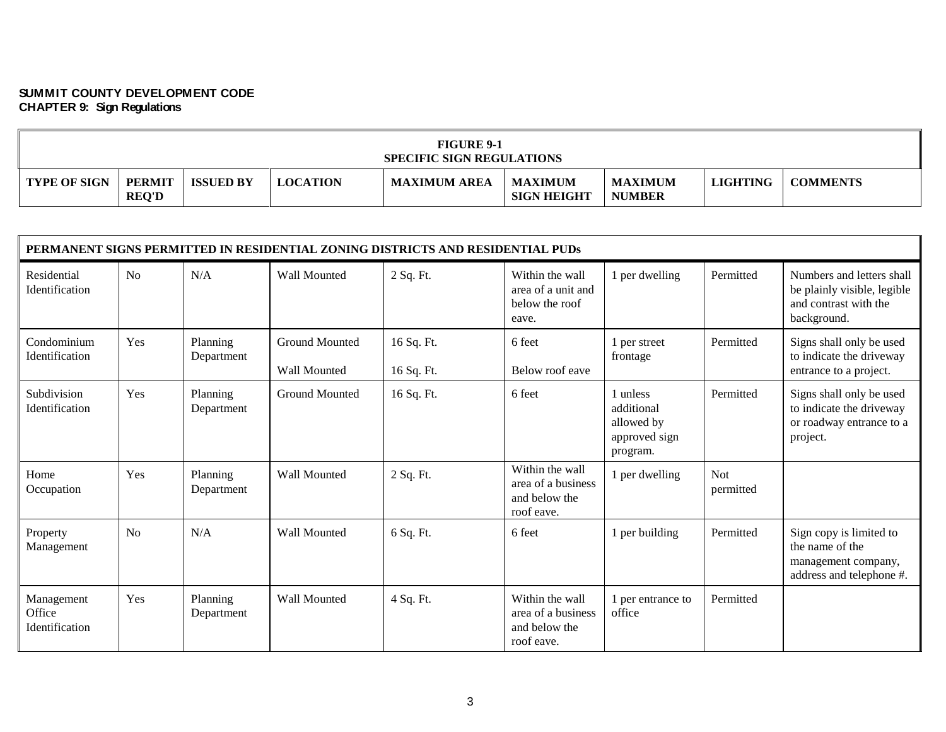| <b>FIGURE 9-1</b><br><b>SPECIFIC SIGN REGULATIONS</b> |                               |                  |                 |                     |                                      |                                 |                 |                 |  |
|-------------------------------------------------------|-------------------------------|------------------|-----------------|---------------------|--------------------------------------|---------------------------------|-----------------|-----------------|--|
| <b>TYPE OF SIGN</b>                                   | <b>PERMIT</b><br><b>REQ'D</b> | <b>ISSUED BY</b> | <b>LOCATION</b> | <b>MAXIMUM AREA</b> | <b>MAXIMUM</b><br><b>SIGN HEIGHT</b> | <b>MAXIMUM</b><br><b>NUMBER</b> | <b>LIGHTING</b> | <b>COMMENTS</b> |  |

|                                        |                |                        |                                       | PERMANENT SIGNS PERMITTED IN RESIDENTIAL ZONING DISTRICTS AND RESIDENTIAL PUDS |                                                                      |                                                                   |                         |                                                                                                  |
|----------------------------------------|----------------|------------------------|---------------------------------------|--------------------------------------------------------------------------------|----------------------------------------------------------------------|-------------------------------------------------------------------|-------------------------|--------------------------------------------------------------------------------------------------|
| Residential<br>Identification          | No             | N/A                    | <b>Wall Mounted</b>                   | 2 Sq. Ft.                                                                      | Within the wall<br>area of a unit and<br>below the roof<br>eave.     | 1 per dwelling                                                    | Permitted               | Numbers and letters shall<br>be plainly visible, legible<br>and contrast with the<br>background. |
| Condominium<br>Identification          | Yes            | Planning<br>Department | <b>Ground Mounted</b><br>Wall Mounted | 16 Sq. Ft.<br>16 Sq. Ft.                                                       | 6 feet<br>Below roof eave                                            | 1 per street<br>frontage                                          | Permitted               | Signs shall only be used<br>to indicate the driveway<br>entrance to a project.                   |
| Subdivision<br><b>Identification</b>   | Yes            | Planning<br>Department | <b>Ground Mounted</b>                 | 16 Sq. Ft.                                                                     | 6 feet                                                               | 1 unless<br>additional<br>allowed by<br>approved sign<br>program. | Permitted               | Signs shall only be used<br>to indicate the driveway<br>or roadway entrance to a<br>project.     |
| Home<br>Occupation                     | Yes            | Planning<br>Department | Wall Mounted                          | 2 Sq. Ft.                                                                      | Within the wall<br>area of a business<br>and below the<br>roof eave. | 1 per dwelling                                                    | <b>Not</b><br>permitted |                                                                                                  |
| Property<br>Management                 | N <sub>o</sub> | N/A                    | Wall Mounted                          | 6 Sq. Ft.                                                                      | 6 feet                                                               | 1 per building                                                    | Permitted               | Sign copy is limited to<br>the name of the<br>management company,<br>address and telephone #.    |
| Management<br>Office<br>Identification | Yes            | Planning<br>Department | Wall Mounted                          | 4 Sq. Ft.                                                                      | Within the wall<br>area of a business<br>and below the<br>roof eave. | 1 per entrance to<br>office                                       | Permitted               |                                                                                                  |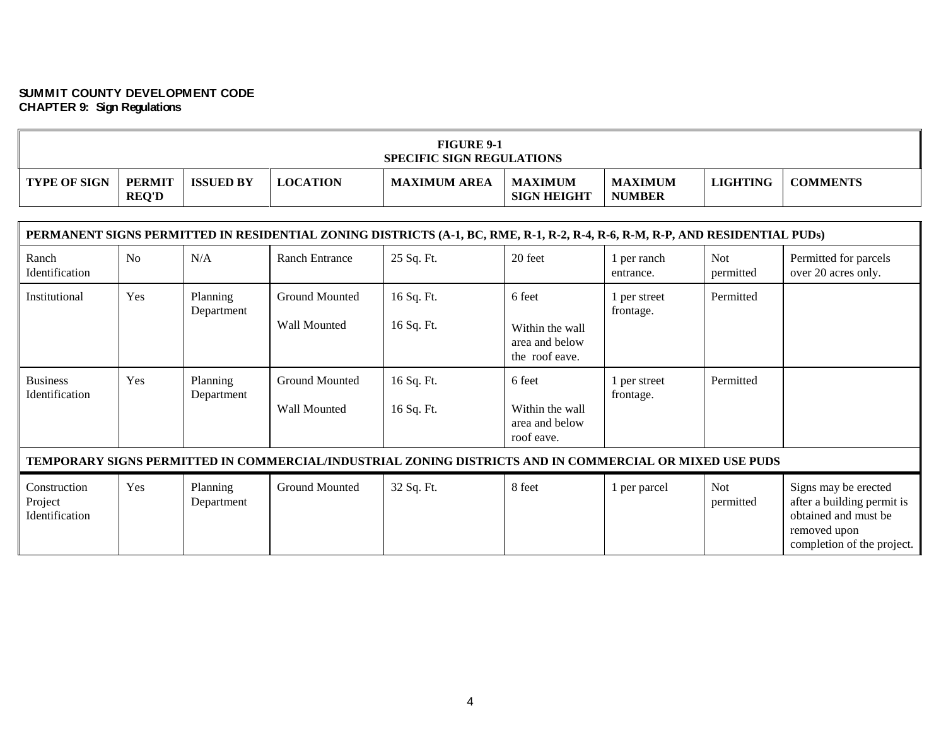$\blacksquare$ 

| <b>FIGURE 9-1</b><br><b>SPECIFIC SIGN REGULATIONS</b> |                               |                  |                 |                     |                                      |                                 |                 |                 |  |
|-------------------------------------------------------|-------------------------------|------------------|-----------------|---------------------|--------------------------------------|---------------------------------|-----------------|-----------------|--|
| <b>TYPE OF SIGN</b>                                   | <b>PERMIT</b><br><b>REQ'D</b> | <b>ISSUED BY</b> | <b>LOCATION</b> | <b>MAXIMUM AREA</b> | <b>MAXIMUM</b><br><b>SIGN HEIGHT</b> | <b>MAXIMUM</b><br><b>NUMBER</b> | <b>LIGHTING</b> | <b>COMMENTS</b> |  |

 $\blacksquare$ 

|                                           |     |                        |                                       | PERMANENT SIGNS PERMITTED IN RESIDENTIAL ZONING DISTRICTS (A-1, BC, RME, R-1, R-2, R-4, R-6, R-M, R-P, AND RESIDENTIAL PUDs) |                                                               |                           |                         |                                                                                                                          |
|-------------------------------------------|-----|------------------------|---------------------------------------|------------------------------------------------------------------------------------------------------------------------------|---------------------------------------------------------------|---------------------------|-------------------------|--------------------------------------------------------------------------------------------------------------------------|
| Ranch<br>Identification                   | No  | N/A                    | <b>Ranch Entrance</b>                 | 25 Sq. Ft.                                                                                                                   | 20 feet                                                       | 1 per ranch<br>entrance.  | <b>Not</b><br>permitted | Permitted for parcels<br>over 20 acres only.                                                                             |
| Institutional                             | Yes | Planning<br>Department | Ground Mounted<br>Wall Mounted        | 16 Sq. Ft.<br>16 Sq. Ft.                                                                                                     | 6 feet<br>Within the wall<br>area and below<br>the roof eave. | per street<br>frontage.   | Permitted               |                                                                                                                          |
| <b>Business</b><br>Identification         | Yes | Planning<br>Department | <b>Ground Mounted</b><br>Wall Mounted | 16 Sq. Ft.<br>16 Sq. Ft.                                                                                                     | 6 feet<br>Within the wall<br>area and below<br>roof eave.     | l per street<br>frontage. | Permitted               |                                                                                                                          |
|                                           |     |                        |                                       | TEMPORARY SIGNS PERMITTED IN COMMERCIAL/INDUSTRIAL ZONING DISTRICTS AND IN COMMERCIAL OR MIXED USE PUDS                      |                                                               |                           |                         |                                                                                                                          |
| Construction<br>Project<br>Identification | Yes | Planning<br>Department | Ground Mounted                        | 32 Sq. Ft.                                                                                                                   | 8 feet                                                        | 1 per parcel              | <b>Not</b><br>permitted | Signs may be erected<br>after a building permit is<br>obtained and must be<br>removed upon<br>completion of the project. |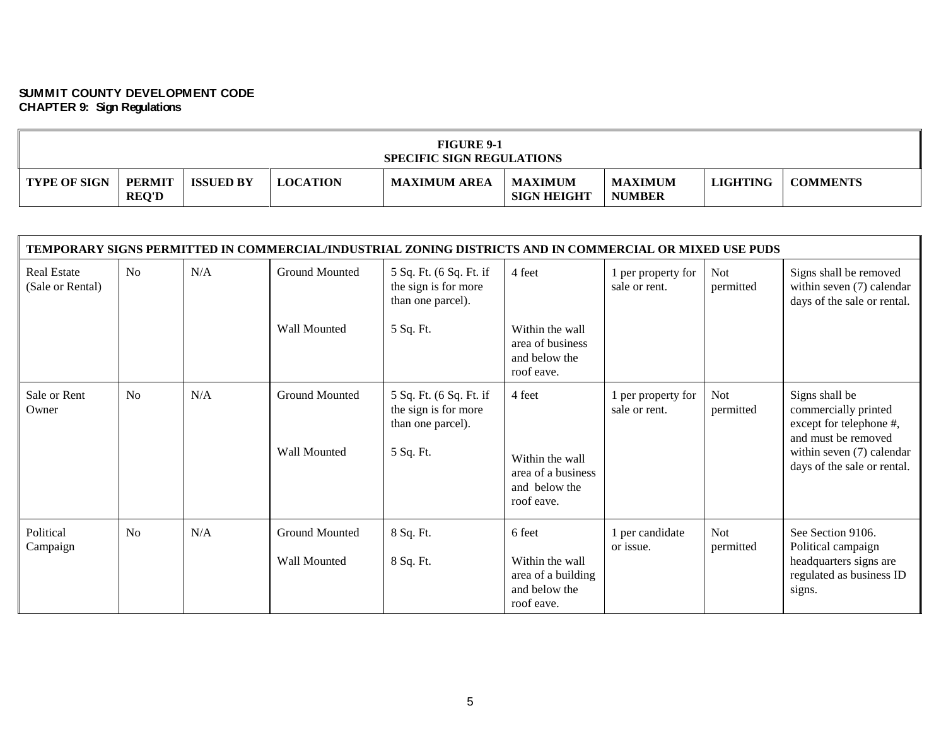| <b>FIGURE 9-1</b><br><b>SPECIFIC SIGN REGULATIONS</b> |                               |                  |                 |                     |                                      |                                 |                 |                 |  |
|-------------------------------------------------------|-------------------------------|------------------|-----------------|---------------------|--------------------------------------|---------------------------------|-----------------|-----------------|--|
| <b>TYPE OF SIGN</b>                                   | <b>PERMIT</b><br><b>REQ'D</b> | <b>ISSUED BY</b> | <b>LOCATION</b> | <b>MAXIMUM AREA</b> | <b>MAXIMUM</b><br><b>SIGN HEIGHT</b> | <b>MAXIMUM</b><br><b>NUMBER</b> | <b>LIGHTING</b> | <b>COMMENTS</b> |  |

| TEMPORARY SIGNS PERMITTED IN COMMERCIAL/INDUSTRIAL ZONING DISTRICTS AND IN COMMERCIAL OR MIXED USE PUDS |                |     |                                       |                                                                                   |                                                                                |                                     |                         |                                                                                                                                                      |  |  |
|---------------------------------------------------------------------------------------------------------|----------------|-----|---------------------------------------|-----------------------------------------------------------------------------------|--------------------------------------------------------------------------------|-------------------------------------|-------------------------|------------------------------------------------------------------------------------------------------------------------------------------------------|--|--|
| <b>Real Estate</b><br>(Sale or Rental)                                                                  | N <sub>o</sub> | N/A | Ground Mounted                        | 5 Sq. Ft. (6 Sq. Ft. if<br>the sign is for more<br>than one parcel).              | 4 feet                                                                         | 1 per property for<br>sale or rent. | <b>Not</b><br>permitted | Signs shall be removed<br>within seven (7) calendar<br>days of the sale or rental.                                                                   |  |  |
|                                                                                                         |                |     | Wall Mounted                          | 5 Sq. Ft.                                                                         | Within the wall<br>area of business<br>and below the<br>roof eave.             |                                     |                         |                                                                                                                                                      |  |  |
| Sale or Rent<br>Owner                                                                                   | N <sub>o</sub> | N/A | <b>Ground Mounted</b><br>Wall Mounted | 5 Sq. Ft. (6 Sq. Ft. if<br>the sign is for more<br>than one parcel).<br>5 Sq. Ft. | 4 feet<br>Within the wall<br>area of a business<br>and below the<br>roof eave. | per property for<br>sale or rent.   | <b>Not</b><br>permitted | Signs shall be<br>commercially printed<br>except for telephone #,<br>and must be removed<br>within seven (7) calendar<br>days of the sale or rental. |  |  |
| Political<br>Campaign                                                                                   | No             | N/A | Ground Mounted<br><b>Wall Mounted</b> | 8 Sq. Ft.<br>8 Sq. Ft.                                                            | 6 feet<br>Within the wall<br>area of a building<br>and below the<br>roof eave. | 1 per candidate<br>or issue.        | <b>Not</b><br>permitted | See Section 9106.<br>Political campaign<br>headquarters signs are<br>regulated as business ID<br>signs.                                              |  |  |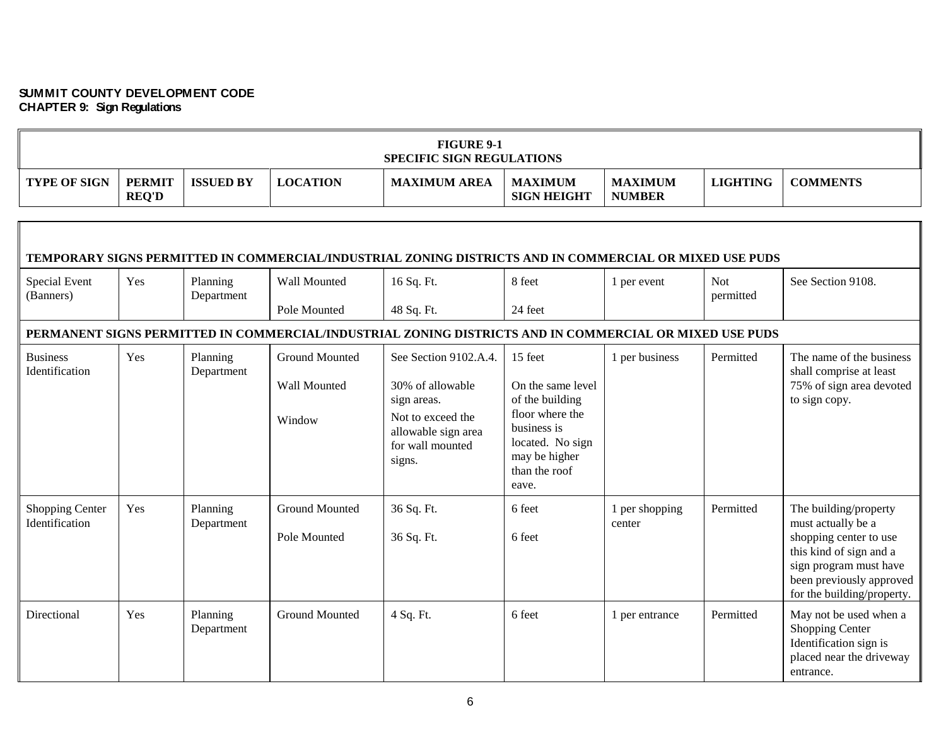$\overline{a}$ 

| <b>FIGURE 9-1</b><br><b>SPECIFIC SIGN REGULATIONS</b> |                               |                        |                                                 |                                                                                                                                    |                                                                                                                                                  |                                 |                         |                                                                                                                                                                                      |  |
|-------------------------------------------------------|-------------------------------|------------------------|-------------------------------------------------|------------------------------------------------------------------------------------------------------------------------------------|--------------------------------------------------------------------------------------------------------------------------------------------------|---------------------------------|-------------------------|--------------------------------------------------------------------------------------------------------------------------------------------------------------------------------------|--|
| <b>TYPE OF SIGN</b>                                   | <b>PERMIT</b><br><b>REQ'D</b> | <b>ISSUED BY</b>       | <b>LOCATION</b>                                 | <b>MAXIMUM AREA</b>                                                                                                                | <b>MAXIMUM</b><br><b>SIGN HEIGHT</b>                                                                                                             | <b>MAXIMUM</b><br><b>NUMBER</b> | <b>LIGHTING</b>         | <b>COMMENTS</b>                                                                                                                                                                      |  |
|                                                       |                               |                        |                                                 |                                                                                                                                    |                                                                                                                                                  |                                 |                         |                                                                                                                                                                                      |  |
|                                                       |                               |                        |                                                 | TEMPORARY SIGNS PERMITTED IN COMMERCIAL/INDUSTRIAL ZONING DISTRICTS AND IN COMMERCIAL OR MIXED USE PUDS                            |                                                                                                                                                  |                                 |                         |                                                                                                                                                                                      |  |
| Special Event<br>(Banners)                            | Yes                           | Planning<br>Department | Wall Mounted                                    | 16 Sq. Ft.                                                                                                                         | 8 feet                                                                                                                                           | 1 per event                     | <b>Not</b><br>permitted | See Section 9108.                                                                                                                                                                    |  |
|                                                       |                               |                        | Pole Mounted                                    | 48 Sq. Ft.                                                                                                                         | 24 feet                                                                                                                                          |                                 |                         |                                                                                                                                                                                      |  |
|                                                       |                               |                        |                                                 | PERMANENT SIGNS PERMITTED IN COMMERCIAL/INDUSTRIAL ZONING DISTRICTS AND IN COMMERCIAL OR MIXED USE PUDS                            |                                                                                                                                                  |                                 |                         |                                                                                                                                                                                      |  |
| <b>Business</b><br>Identification                     | Yes                           | Planning<br>Department | <b>Ground Mounted</b><br>Wall Mounted<br>Window | See Section 9102.A.4.<br>30% of allowable<br>sign areas.<br>Not to exceed the<br>allowable sign area<br>for wall mounted<br>signs. | 15 feet<br>On the same level<br>of the building<br>floor where the<br>business is<br>located. No sign<br>may be higher<br>than the roof<br>eave. | 1 per business                  | Permitted               | The name of the business<br>shall comprise at least<br>75% of sign area devoted<br>to sign copy.                                                                                     |  |
| Shopping Center<br>Identification                     | Yes                           | Planning<br>Department | <b>Ground Mounted</b><br>Pole Mounted           | 36 Sq. Ft.<br>36 Sq. Ft.                                                                                                           | 6 feet<br>6 feet                                                                                                                                 | 1 per shopping<br>center        | Permitted               | The building/property<br>must actually be a<br>shopping center to use<br>this kind of sign and a<br>sign program must have<br>been previously approved<br>for the building/property. |  |
| Directional                                           | Yes                           | Planning<br>Department | <b>Ground Mounted</b>                           | 4 Sq. Ft.                                                                                                                          | 6 feet                                                                                                                                           | 1 per entrance                  | Permitted               | May not be used when a<br>Shopping Center<br>Identification sign is<br>placed near the driveway<br>entrance.                                                                         |  |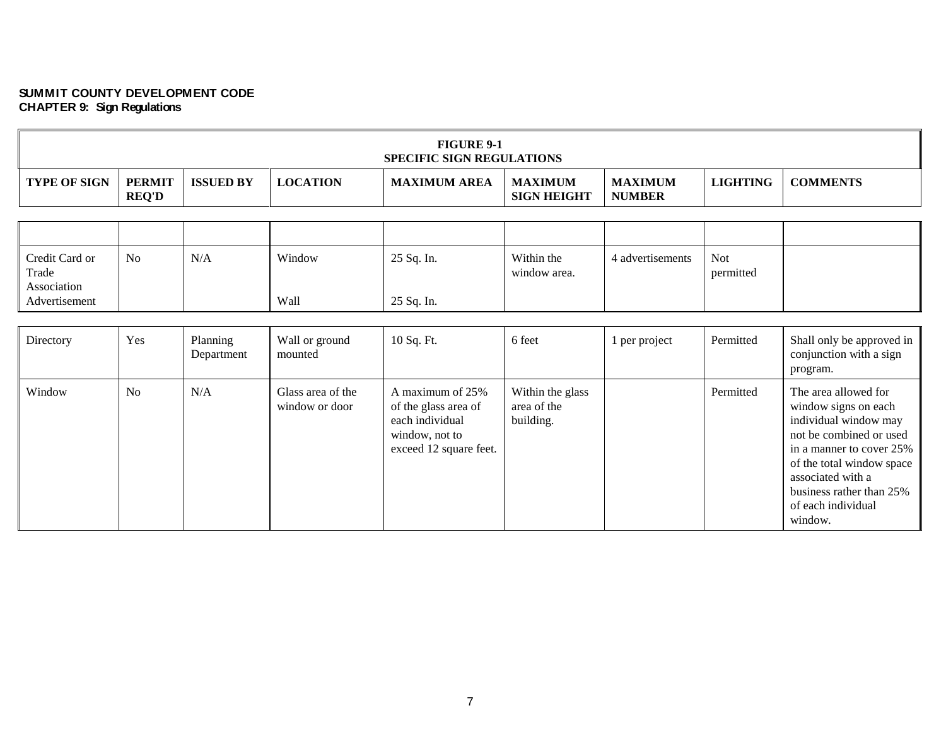| <b>FIGURE 9-1</b><br><b>SPECIFIC SIGN REGULATIONS</b> |                               |                  |                 |                     |                               |                                 |          |                 |
|-------------------------------------------------------|-------------------------------|------------------|-----------------|---------------------|-------------------------------|---------------------------------|----------|-----------------|
| <b>TYPE OF SIGN</b>                                   | <b>PERMIT</b><br><b>REQ'D</b> | <b>ISSUED BY</b> | <b>LOCATION</b> | <b>MAXIMUM AREA</b> | MAXIMUM<br><b>SIGN HEIGHT</b> | <b>MAXIMUM</b><br><b>NUMBER</b> | LIGHTING | <b>COMMENTS</b> |

| Credit Card or<br>Trade      | N <sub>o</sub> | N/A | Window | 25 Sq. In. | Within the<br>window area. | 4 advertisements | Not<br>permitted |  |
|------------------------------|----------------|-----|--------|------------|----------------------------|------------------|------------------|--|
| Association<br>Advertisement |                |     | Wall   | 25 Sq. In. |                            |                  |                  |  |

| Directory | Yes            | Planning<br>Department | Wall or ground<br>mounted           | 10 Sq. Ft.                                                                                              | 6 feet                                       | l per project | Permitted | Shall only be approved in<br>conjunction with a sign<br>program.                                                                                                                                                                            |
|-----------|----------------|------------------------|-------------------------------------|---------------------------------------------------------------------------------------------------------|----------------------------------------------|---------------|-----------|---------------------------------------------------------------------------------------------------------------------------------------------------------------------------------------------------------------------------------------------|
| Window    | N <sub>0</sub> | N/A                    | Glass area of the<br>window or door | A maximum of 25%<br>of the glass area of<br>each individual<br>window, not to<br>exceed 12 square feet. | Within the glass<br>area of the<br>building. |               | Permitted | The area allowed for<br>window signs on each<br>individual window may<br>not be combined or used<br>in a manner to cover 25%<br>of the total window space<br>associated with a<br>business rather than 25%<br>of each individual<br>window. |